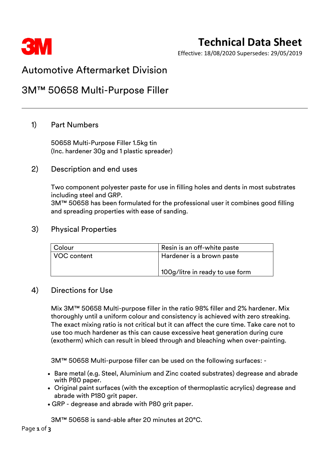

# **Technical Data Sheet**

Effective: 18/08/2020 Supersedes: 29/05/2019

## Automotive Aftermarket Division

# 3M™ 50658 Multi-Purpose Filler

## 1) Part Numbers

50658 Multi-Purpose Filler 1.5kg tin (Inc. hardener 30g and 1 plastic spreader)

### 2) Description and end uses

Two component polyester paste for use in filling holes and dents in most substrates including steel and GRP.

3M™ 50658 has been formulated for the professional user it combines good filling and spreading properties with ease of sanding.

#### 3) Physical Properties

| <b>Colour</b> | Resin is an off-white paste     |  |
|---------------|---------------------------------|--|
| VOC content   | Hardener is a brown paste       |  |
|               |                                 |  |
|               | 100g/litre in ready to use form |  |

#### 4) Directions for Use

Mix 3M™ 50658 Multi-purpose filler in the ratio 98% filler and 2% hardener. Mix thoroughly until a uniform colour and consistency is achieved with zero streaking. The exact mixing ratio is not critical but it can affect the cure time. Take care not to use too much hardener as this can cause excessive heat generation during cure (exotherm) which can result in bleed through and bleaching when over-painting.

3M™ 50658 Multi-purpose filler can be used on the following surfaces: -

- Bare metal (e.g. Steel, Aluminium and Zinc coated substrates) degrease and abrade with P80 paper.
- Original paint surfaces (with the exception of thermoplastic acrylics) degrease and abrade with P180 grit paper.
- GRP degrease and abrade with P80 grit paper.

3M™ 50658 is sand-able after 20 minutes at 20°C.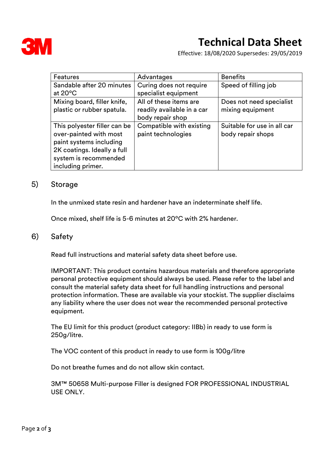

Effective: 18/08/2020 Supersedes: 29/05/2019

| Features                                                                                                                                                       | Advantages                                                               | <b>Benefits</b>                                  |
|----------------------------------------------------------------------------------------------------------------------------------------------------------------|--------------------------------------------------------------------------|--------------------------------------------------|
| Sandable after 20 minutes<br>at $20^{\circ}$ C                                                                                                                 | Curing does not require<br>specialist equipment                          | Speed of filling job                             |
| Mixing board, filler knife,<br>plastic or rubber spatula.                                                                                                      | All of these items are<br>readily available in a car<br>body repair shop | Does not need specialist<br>mixing equipment     |
| This polyester filler can be<br>over-painted with most<br>paint systems including<br>2K coatings. Ideally a full<br>system is recommended<br>including primer. | Compatible with existing<br>paint technologies                           | Suitable for use in all car<br>body repair shops |

#### 5) Storage

In the unmixed state resin and hardener have an indeterminate shelf life.

Once mixed, shelf life is 5-6 minutes at 20ºC with 2% hardener.

#### 6) Safety

Read full instructions and material safety data sheet before use.

IMPORTANT: This product contains hazardous materials and therefore appropriate personal protective equipment should always be used. Please refer to the label and consult the material safety data sheet for full handling instructions and personal protection information. These are available via your stockist. The supplier disclaims any liability where the user does not wear the recommended personal protective equipment.

The EU limit for this product (product category: IIBb) in ready to use form is 250g/litre.

The VOC content of this product in ready to use form is 100g/litre

Do not breathe fumes and do not allow skin contact.

3M™ 50658 Multi-purpose Filler is designed FOR PROFESSIONAL INDUSTRIAL USE ONLY.